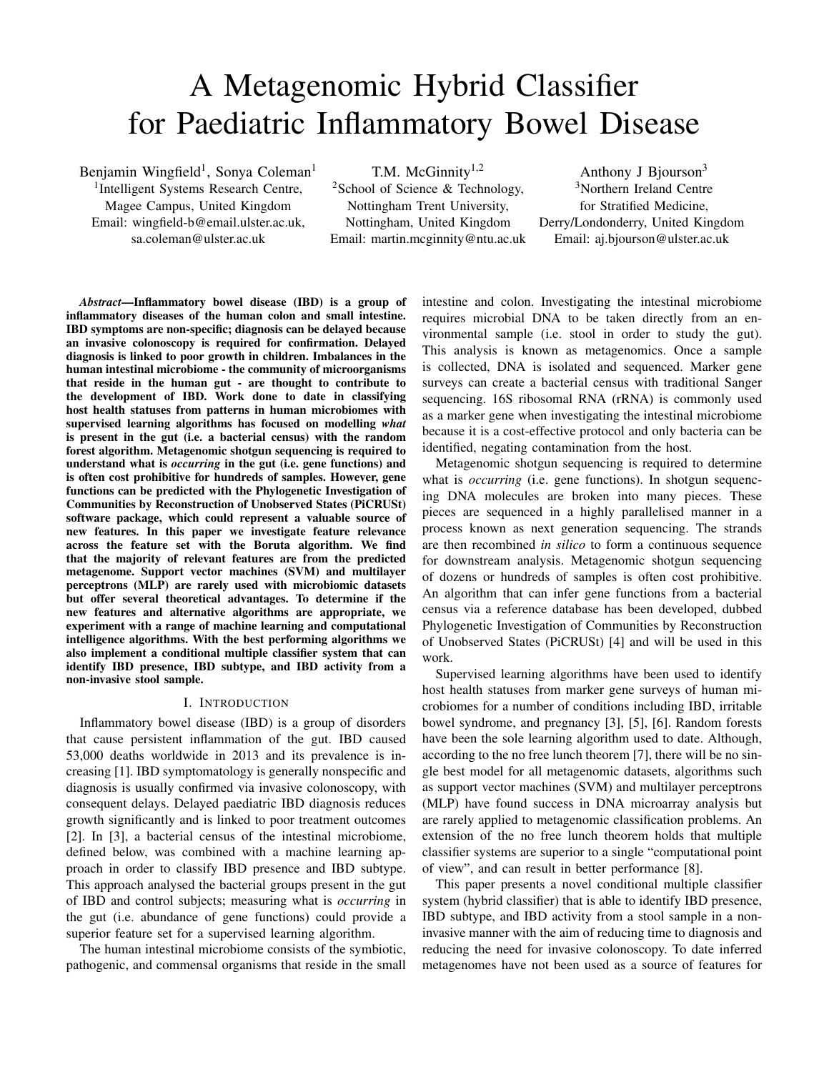# A Metagenomic Hybrid Classifier for Paediatric Inflammatory Bowel Disease

Benjamin Wingfield<sup>1</sup>, Sonya Coleman<sup>1</sup>

1 Intelligent Systems Research Centre, Magee Campus, United Kingdom Email: wingfield-b@email.ulster.ac.uk, sa.coleman@ulster.ac.uk

T.M. McGinnity $1,2$ <sup>2</sup>School of Science & Technology, Nottingham Trent University, Nottingham, United Kingdom Email: martin.mcginnity@ntu.ac.uk

Anthony J Bjourson<sup>3</sup> <sup>3</sup>Northern Ireland Centre for Stratified Medicine, Derry/Londonderry, United Kingdom Email: aj.bjourson@ulster.ac.uk

*Abstract*—Inflammatory bowel disease (IBD) is a group of inflammatory diseases of the human colon and small intestine. IBD symptoms are non-specific; diagnosis can be delayed because an invasive colonoscopy is required for confirmation. Delayed diagnosis is linked to poor growth in children. Imbalances in the human intestinal microbiome - the community of microorganisms that reside in the human gut - are thought to contribute to the development of IBD. Work done to date in classifying host health statuses from patterns in human microbiomes with supervised learning algorithms has focused on modelling *what* is present in the gut (i.e. a bacterial census) with the random forest algorithm. Metagenomic shotgun sequencing is required to understand what is *occurring* in the gut (i.e. gene functions) and is often cost prohibitive for hundreds of samples. However, gene functions can be predicted with the Phylogenetic Investigation of Communities by Reconstruction of Unobserved States (PiCRUSt) software package, which could represent a valuable source of new features. In this paper we investigate feature relevance across the feature set with the Boruta algorithm. We find that the majority of relevant features are from the predicted metagenome. Support vector machines (SVM) and multilayer perceptrons (MLP) are rarely used with microbiomic datasets but offer several theoretical advantages. To determine if the new features and alternative algorithms are appropriate, we experiment with a range of machine learning and computational intelligence algorithms. With the best performing algorithms we also implement a conditional multiple classifier system that can identify IBD presence, IBD subtype, and IBD activity from a non-invasive stool sample.

### I. INTRODUCTION

Inflammatory bowel disease (IBD) is a group of disorders that cause persistent inflammation of the gut. IBD caused 53,000 deaths worldwide in 2013 and its prevalence is increasing [1]. IBD symptomatology is generally nonspecific and diagnosis is usually confirmed via invasive colonoscopy, with consequent delays. Delayed paediatric IBD diagnosis reduces growth significantly and is linked to poor treatment outcomes [2]. In [3], a bacterial census of the intestinal microbiome, defined below, was combined with a machine learning approach in order to classify IBD presence and IBD subtype. This approach analysed the bacterial groups present in the gut of IBD and control subjects; measuring what is *occurring* in the gut (i.e. abundance of gene functions) could provide a superior feature set for a supervised learning algorithm.

The human intestinal microbiome consists of the symbiotic, pathogenic, and commensal organisms that reside in the small intestine and colon. Investigating the intestinal microbiome requires microbial DNA to be taken directly from an environmental sample (i.e. stool in order to study the gut). This analysis is known as metagenomics. Once a sample is collected, DNA is isolated and sequenced. Marker gene surveys can create a bacterial census with traditional Sanger sequencing. 16S ribosomal RNA (rRNA) is commonly used as a marker gene when investigating the intestinal microbiome because it is a cost-effective protocol and only bacteria can be identified, negating contamination from the host.

Metagenomic shotgun sequencing is required to determine what is *occurring* (i.e. gene functions). In shotgun sequencing DNA molecules are broken into many pieces. These pieces are sequenced in a highly parallelised manner in a process known as next generation sequencing. The strands are then recombined *in silico* to form a continuous sequence for downstream analysis. Metagenomic shotgun sequencing of dozens or hundreds of samples is often cost prohibitive. An algorithm that can infer gene functions from a bacterial census via a reference database has been developed, dubbed Phylogenetic Investigation of Communities by Reconstruction of Unobserved States (PiCRUSt) [4] and will be used in this work.

Supervised learning algorithms have been used to identify host health statuses from marker gene surveys of human microbiomes for a number of conditions including IBD, irritable bowel syndrome, and pregnancy [3], [5], [6]. Random forests have been the sole learning algorithm used to date. Although, according to the no free lunch theorem [7], there will be no single best model for all metagenomic datasets, algorithms such as support vector machines (SVM) and multilayer perceptrons (MLP) have found success in DNA microarray analysis but are rarely applied to metagenomic classification problems. An extension of the no free lunch theorem holds that multiple classifier systems are superior to a single "computational point of view", and can result in better performance [8].

This paper presents a novel conditional multiple classifier system (hybrid classifier) that is able to identify IBD presence, IBD subtype, and IBD activity from a stool sample in a noninvasive manner with the aim of reducing time to diagnosis and reducing the need for invasive colonoscopy. To date inferred metagenomes have not been used as a source of features for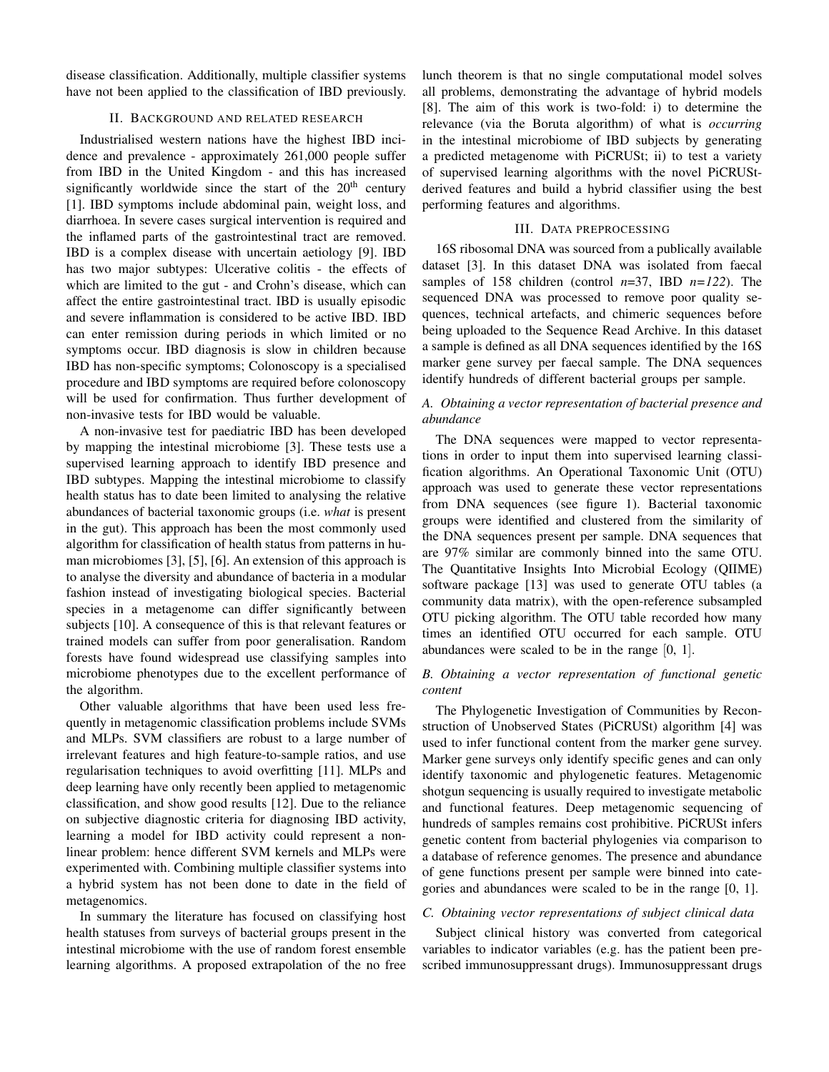disease classification. Additionally, multiple classifier systems have not been applied to the classification of IBD previously.

## II. BACKGROUND AND RELATED RESEARCH

Industrialised western nations have the highest IBD incidence and prevalence - approximately 261,000 people suffer from IBD in the United Kingdom - and this has increased significantly worldwide since the start of the 20<sup>th</sup> century [1]. IBD symptoms include abdominal pain, weight loss, and diarrhoea. In severe cases surgical intervention is required and the inflamed parts of the gastrointestinal tract are removed. IBD is a complex disease with uncertain aetiology [9]. IBD has two major subtypes: Ulcerative colitis - the effects of which are limited to the gut - and Crohn's disease, which can affect the entire gastrointestinal tract. IBD is usually episodic and severe inflammation is considered to be active IBD. IBD can enter remission during periods in which limited or no symptoms occur. IBD diagnosis is slow in children because IBD has non-specific symptoms; Colonoscopy is a specialised procedure and IBD symptoms are required before colonoscopy will be used for confirmation. Thus further development of non-invasive tests for IBD would be valuable.

A non-invasive test for paediatric IBD has been developed by mapping the intestinal microbiome [3]. These tests use a supervised learning approach to identify IBD presence and IBD subtypes. Mapping the intestinal microbiome to classify health status has to date been limited to analysing the relative abundances of bacterial taxonomic groups (i.e. *what* is present in the gut). This approach has been the most commonly used algorithm for classification of health status from patterns in human microbiomes [3], [5], [6]. An extension of this approach is to analyse the diversity and abundance of bacteria in a modular fashion instead of investigating biological species. Bacterial species in a metagenome can differ significantly between subjects [10]. A consequence of this is that relevant features or trained models can suffer from poor generalisation. Random forests have found widespread use classifying samples into microbiome phenotypes due to the excellent performance of the algorithm.

Other valuable algorithms that have been used less frequently in metagenomic classification problems include SVMs and MLPs. SVM classifiers are robust to a large number of irrelevant features and high feature-to-sample ratios, and use regularisation techniques to avoid overfitting [11]. MLPs and deep learning have only recently been applied to metagenomic classification, and show good results [12]. Due to the reliance on subjective diagnostic criteria for diagnosing IBD activity, learning a model for IBD activity could represent a nonlinear problem: hence different SVM kernels and MLPs were experimented with. Combining multiple classifier systems into a hybrid system has not been done to date in the field of metagenomics.

In summary the literature has focused on classifying host health statuses from surveys of bacterial groups present in the intestinal microbiome with the use of random forest ensemble learning algorithms. A proposed extrapolation of the no free lunch theorem is that no single computational model solves all problems, demonstrating the advantage of hybrid models [8]. The aim of this work is two-fold: i) to determine the relevance (via the Boruta algorithm) of what is *occurring* in the intestinal microbiome of IBD subjects by generating a predicted metagenome with PiCRUSt; ii) to test a variety of supervised learning algorithms with the novel PiCRUStderived features and build a hybrid classifier using the best performing features and algorithms.

## III. DATA PREPROCESSING

16S ribosomal DNA was sourced from a publically available dataset [3]. In this dataset DNA was isolated from faecal samples of 158 children (control *n*=37, IBD *n=122*). The sequenced DNA was processed to remove poor quality sequences, technical artefacts, and chimeric sequences before being uploaded to the Sequence Read Archive. In this dataset a sample is defined as all DNA sequences identified by the 16S marker gene survey per faecal sample. The DNA sequences identify hundreds of different bacterial groups per sample.

## *A. Obtaining a vector representation of bacterial presence and abundance*

The DNA sequences were mapped to vector representations in order to input them into supervised learning classification algorithms. An Operational Taxonomic Unit (OTU) approach was used to generate these vector representations from DNA sequences (see figure 1). Bacterial taxonomic groups were identified and clustered from the similarity of the DNA sequences present per sample. DNA sequences that are 97% similar are commonly binned into the same OTU. The Quantitative Insights Into Microbial Ecology (QIIME) software package [13] was used to generate OTU tables (a community data matrix), with the open-reference subsampled OTU picking algorithm. The OTU table recorded how many times an identified OTU occurred for each sample. OTU abundances were scaled to be in the range [0, 1].

## *B. Obtaining a vector representation of functional genetic content*

The Phylogenetic Investigation of Communities by Reconstruction of Unobserved States (PiCRUSt) algorithm [4] was used to infer functional content from the marker gene survey. Marker gene surveys only identify specific genes and can only identify taxonomic and phylogenetic features. Metagenomic shotgun sequencing is usually required to investigate metabolic and functional features. Deep metagenomic sequencing of hundreds of samples remains cost prohibitive. PiCRUSt infers genetic content from bacterial phylogenies via comparison to a database of reference genomes. The presence and abundance of gene functions present per sample were binned into categories and abundances were scaled to be in the range [0, 1].

### *C. Obtaining vector representations of subject clinical data*

Subject clinical history was converted from categorical variables to indicator variables (e.g. has the patient been prescribed immunosuppressant drugs). Immunosuppressant drugs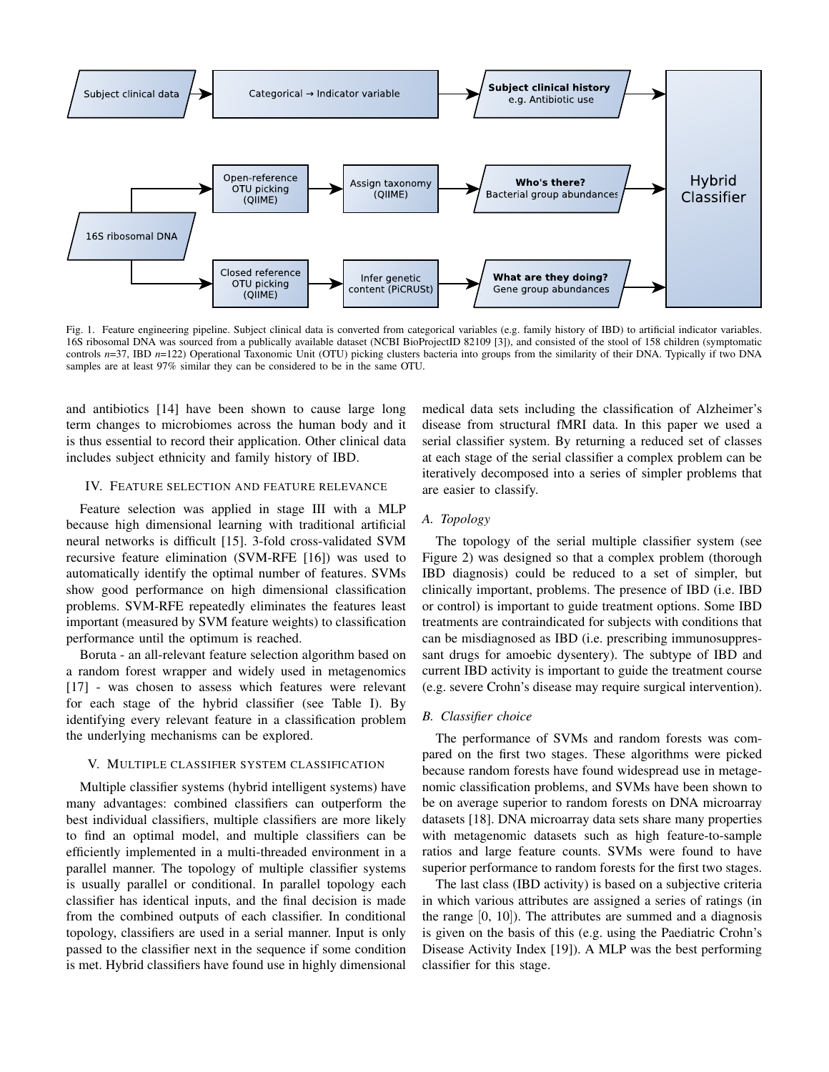

Fig. 1. Feature engineering pipeline. Subject clinical data is converted from categorical variables (e.g. family history of IBD) to artificial indicator variables. 16S ribosomal DNA was sourced from a publically available dataset (NCBI BioProjectID 82109 [3]), and consisted of the stool of 158 children (symptomatic controls  $n=37$ , IBD  $n=122$ ) Operational Taxonomic Unit (OTU) picking clusters bacteria into groups from the similarity of their DNA. Typically if two DNA samples are at least 97% similar they can be considered to be in the same OTU.

and antibiotics [14] have been shown to cause large long term changes to microbiomes across the human body and it is thus essential to record their application. Other clinical data includes subject ethnicity and family history of IBD.

## IV. FEATURE SELECTION AND FEATURE RELEVANCE

Feature selection was applied in stage III with a MLP because high dimensional learning with traditional artificial neural networks is difficult [15]. 3-fold cross-validated SVM recursive feature elimination (SVM-RFE [16]) was used to automatically identify the optimal number of features. SVMs show good performance on high dimensional classification problems. SVM-RFE repeatedly eliminates the features least important (measured by SVM feature weights) to classification performance until the optimum is reached.

Boruta - an all-relevant feature selection algorithm based on a random forest wrapper and widely used in metagenomics [17] - was chosen to assess which features were relevant for each stage of the hybrid classifier (see Table I). By identifying every relevant feature in a classification problem the underlying mechanisms can be explored.

#### V. MULTIPLE CLASSIFIER SYSTEM CLASSIFICATION

Multiple classifier systems (hybrid intelligent systems) have many advantages: combined classifiers can outperform the best individual classifiers, multiple classifiers are more likely to find an optimal model, and multiple classifiers can be efficiently implemented in a multi-threaded environment in a parallel manner. The topology of multiple classifier systems is usually parallel or conditional. In parallel topology each classifier has identical inputs, and the final decision is made from the combined outputs of each classifier. In conditional topology, classifiers are used in a serial manner. Input is only passed to the classifier next in the sequence if some condition is met. Hybrid classifiers have found use in highly dimensional medical data sets including the classification of Alzheimer's disease from structural fMRI data. In this paper we used a serial classifier system. By returning a reduced set of classes at each stage of the serial classifier a complex problem can be iteratively decomposed into a series of simpler problems that are easier to classify.

#### *A. Topology*

The topology of the serial multiple classifier system (see Figure 2) was designed so that a complex problem (thorough IBD diagnosis) could be reduced to a set of simpler, but clinically important, problems. The presence of IBD (i.e. IBD or control) is important to guide treatment options. Some IBD treatments are contraindicated for subjects with conditions that can be misdiagnosed as IBD (i.e. prescribing immunosuppressant drugs for amoebic dysentery). The subtype of IBD and current IBD activity is important to guide the treatment course (e.g. severe Crohn's disease may require surgical intervention).

#### *B. Classifier choice*

The performance of SVMs and random forests was compared on the first two stages. These algorithms were picked because random forests have found widespread use in metagenomic classification problems, and SVMs have been shown to be on average superior to random forests on DNA microarray datasets [18]. DNA microarray data sets share many properties with metagenomic datasets such as high feature-to-sample ratios and large feature counts. SVMs were found to have superior performance to random forests for the first two stages.

The last class (IBD activity) is based on a subjective criteria in which various attributes are assigned a series of ratings (in the range [0, 10]). The attributes are summed and a diagnosis is given on the basis of this (e.g. using the Paediatric Crohn's Disease Activity Index [19]). A MLP was the best performing classifier for this stage.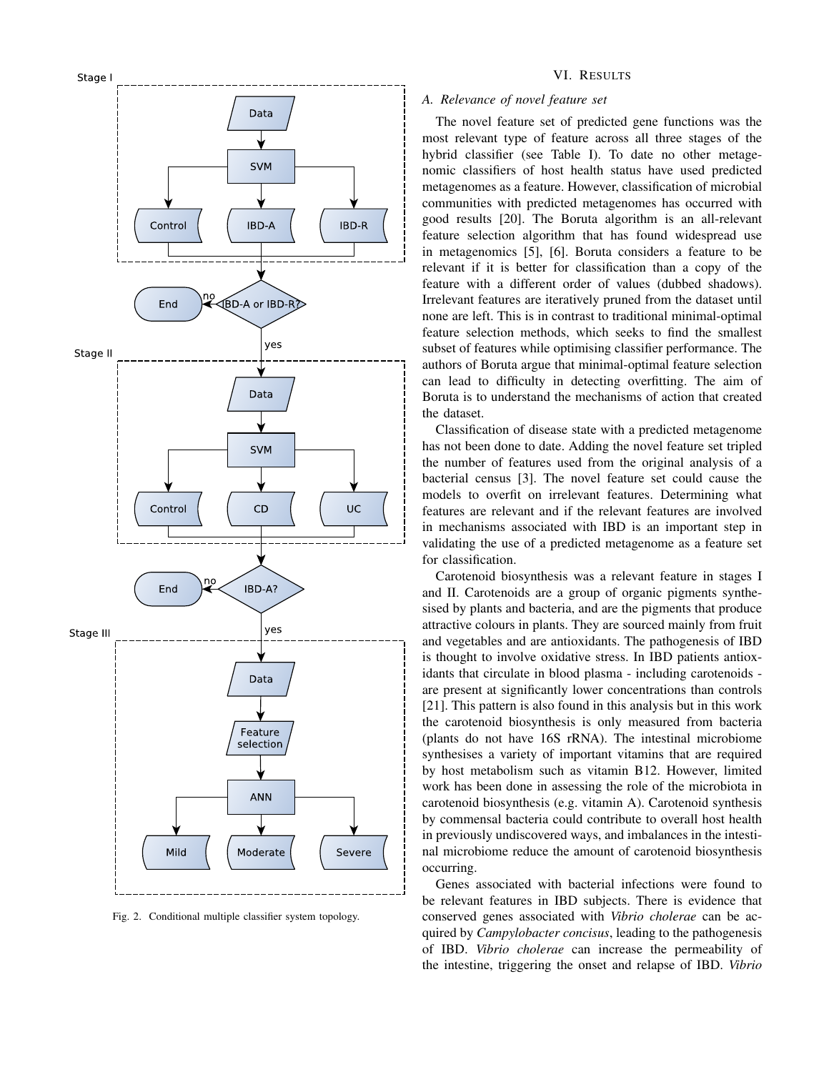

Fig. 2. Conditional multiple classifier system topology.

### VI. RESULTS

## *A. Relevance of novel feature set*

The novel feature set of predicted gene functions was the most relevant type of feature across all three stages of the hybrid classifier (see Table I). To date no other metagenomic classifiers of host health status have used predicted metagenomes as a feature. However, classification of microbial communities with predicted metagenomes has occurred with good results [20]. The Boruta algorithm is an all-relevant feature selection algorithm that has found widespread use in metagenomics [5], [6]. Boruta considers a feature to be relevant if it is better for classification than a copy of the feature with a different order of values (dubbed shadows). Irrelevant features are iteratively pruned from the dataset until none are left. This is in contrast to traditional minimal-optimal feature selection methods, which seeks to find the smallest subset of features while optimising classifier performance. The authors of Boruta argue that minimal-optimal feature selection can lead to difficulty in detecting overfitting. The aim of Boruta is to understand the mechanisms of action that created the dataset.

Classification of disease state with a predicted metagenome has not been done to date. Adding the novel feature set tripled the number of features used from the original analysis of a bacterial census [3]. The novel feature set could cause the models to overfit on irrelevant features. Determining what features are relevant and if the relevant features are involved in mechanisms associated with IBD is an important step in validating the use of a predicted metagenome as a feature set for classification.

Carotenoid biosynthesis was a relevant feature in stages I and II. Carotenoids are a group of organic pigments synthesised by plants and bacteria, and are the pigments that produce attractive colours in plants. They are sourced mainly from fruit and vegetables and are antioxidants. The pathogenesis of IBD is thought to involve oxidative stress. In IBD patients antioxidants that circulate in blood plasma - including carotenoids are present at significantly lower concentrations than controls [21]. This pattern is also found in this analysis but in this work the carotenoid biosynthesis is only measured from bacteria (plants do not have 16S rRNA). The intestinal microbiome synthesises a variety of important vitamins that are required by host metabolism such as vitamin B12. However, limited work has been done in assessing the role of the microbiota in carotenoid biosynthesis (e.g. vitamin A). Carotenoid synthesis by commensal bacteria could contribute to overall host health in previously undiscovered ways, and imbalances in the intestinal microbiome reduce the amount of carotenoid biosynthesis occurring.

Genes associated with bacterial infections were found to be relevant features in IBD subjects. There is evidence that conserved genes associated with *Vibrio cholerae* can be acquired by *Campylobacter concisus*, leading to the pathogenesis of IBD. *Vibrio cholerae* can increase the permeability of the intestine, triggering the onset and relapse of IBD. *Vibrio*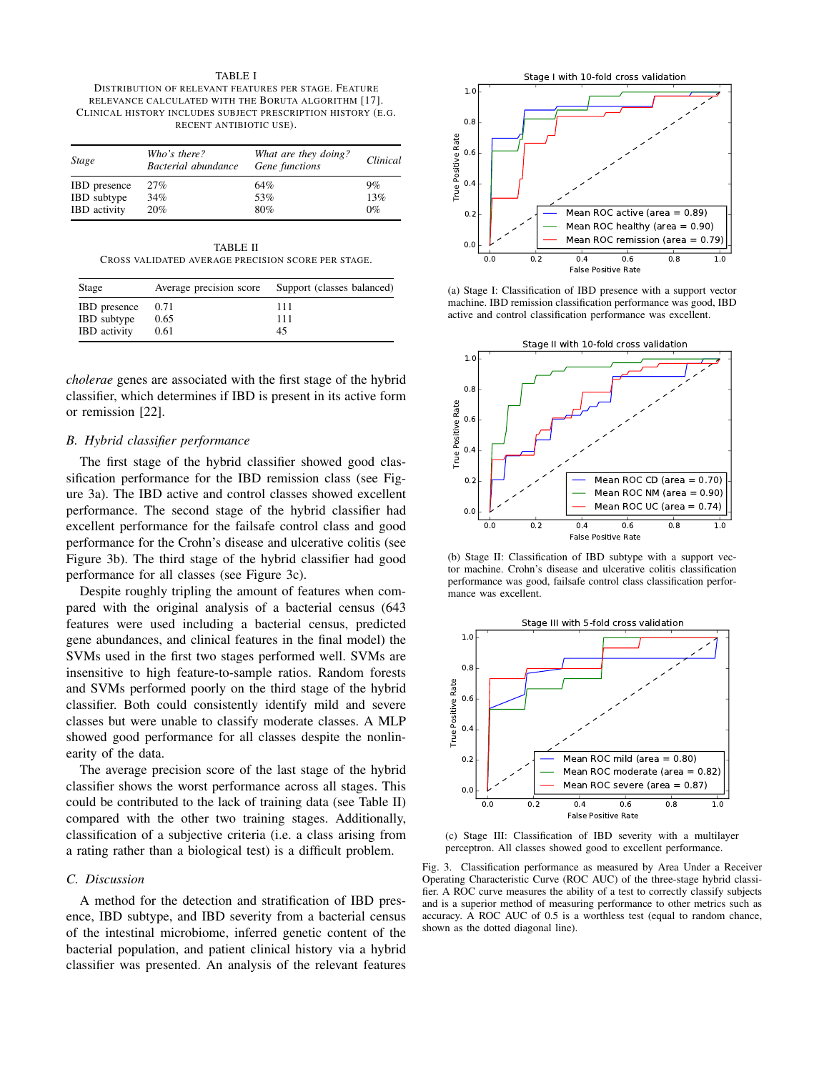TABLE I DISTRIBUTION OF RELEVANT FEATURES PER STAGE. FEATURE RELEVANCE CALCULATED WITH THE BORUTA ALGORITHM [17]. CLINICAL HISTORY INCLUDES SUBJECT PRESCRIPTION HISTORY (E.G. RECENT ANTIBIOTIC USE).

| <b>Stage</b>        | Who's there?<br>Bacterial abundance | What are they doing?<br>Gene functions | Clinical |
|---------------------|-------------------------------------|----------------------------------------|----------|
| <b>IBD</b> presence | 27%                                 | 64%                                    | 9%       |
| IBD subtype         | 34%                                 | 53%                                    | 13%      |
| IBD activity        | 20%                                 | 80%                                    | $0\%$    |

TABLE II CROSS VALIDATED AVERAGE PRECISION SCORE PER STAGE.

| Stage                              | Average precision score | Support (classes balanced) |
|------------------------------------|-------------------------|----------------------------|
| <b>IBD</b> presence<br>IBD subtype | 0.71<br>0.65            | 111<br>111                 |
| <b>IBD</b> activity                | 0.61                    | 45                         |

*cholerae* genes are associated with the first stage of the hybrid classifier, which determines if IBD is present in its active form or remission [22].

## *B. Hybrid classifier performance*

The first stage of the hybrid classifier showed good classification performance for the IBD remission class (see Figure 3a). The IBD active and control classes showed excellent performance. The second stage of the hybrid classifier had excellent performance for the failsafe control class and good performance for the Crohn's disease and ulcerative colitis (see Figure 3b). The third stage of the hybrid classifier had good performance for all classes (see Figure 3c).

Despite roughly tripling the amount of features when compared with the original analysis of a bacterial census (643 features were used including a bacterial census, predicted gene abundances, and clinical features in the final model) the SVMs used in the first two stages performed well. SVMs are insensitive to high feature-to-sample ratios. Random forests and SVMs performed poorly on the third stage of the hybrid classifier. Both could consistently identify mild and severe classes but were unable to classify moderate classes. A MLP showed good performance for all classes despite the nonlinearity of the data.

The average precision score of the last stage of the hybrid classifier shows the worst performance across all stages. This could be contributed to the lack of training data (see Table II) compared with the other two training stages. Additionally, classification of a subjective criteria (i.e. a class arising from a rating rather than a biological test) is a difficult problem.

## *C. Discussion*

A method for the detection and stratification of IBD presence, IBD subtype, and IBD severity from a bacterial census of the intestinal microbiome, inferred genetic content of the bacterial population, and patient clinical history via a hybrid classifier was presented. An analysis of the relevant features



(a) Stage I: Classification of IBD presence with a support vector machine. IBD remission classification performance was good, IBD active and control classification performance was excellent.



(b) Stage II: Classification of IBD subtype with a support vector machine. Crohn's disease and ulcerative colitis classification performance was good, failsafe control class classification performance was excellent.



(c) Stage III: Classification of IBD severity with a multilayer perceptron. All classes showed good to excellent performance.

Fig. 3. Classification performance as measured by Area Under a Receiver Operating Characteristic Curve (ROC AUC) of the three-stage hybrid classifier. A ROC curve measures the ability of a test to correctly classify subjects and is a superior method of measuring performance to other metrics such as accuracy. A ROC AUC of 0.5 is a worthless test (equal to random chance, shown as the dotted diagonal line).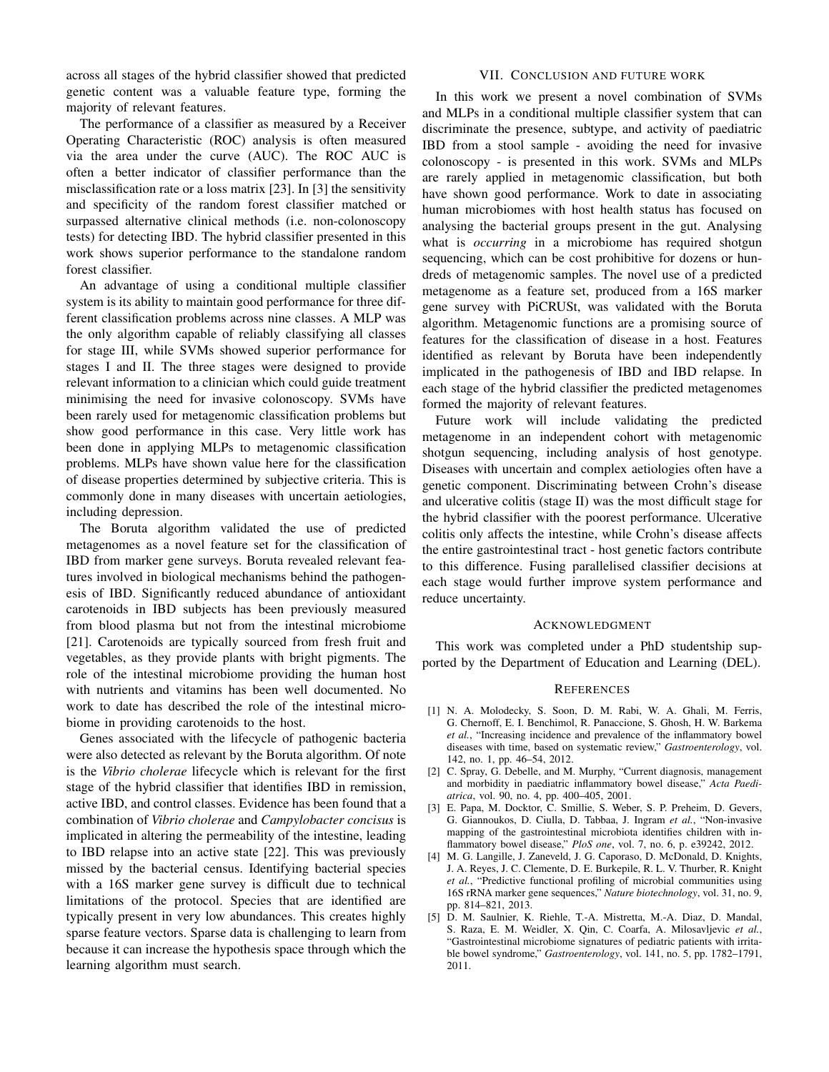across all stages of the hybrid classifier showed that predicted genetic content was a valuable feature type, forming the majority of relevant features.

The performance of a classifier as measured by a Receiver Operating Characteristic (ROC) analysis is often measured via the area under the curve (AUC). The ROC AUC is often a better indicator of classifier performance than the misclassification rate or a loss matrix [23]. In [3] the sensitivity and specificity of the random forest classifier matched or surpassed alternative clinical methods (i.e. non-colonoscopy tests) for detecting IBD. The hybrid classifier presented in this work shows superior performance to the standalone random forest classifier.

An advantage of using a conditional multiple classifier system is its ability to maintain good performance for three different classification problems across nine classes. A MLP was the only algorithm capable of reliably classifying all classes for stage III, while SVMs showed superior performance for stages I and II. The three stages were designed to provide relevant information to a clinician which could guide treatment minimising the need for invasive colonoscopy. SVMs have been rarely used for metagenomic classification problems but show good performance in this case. Very little work has been done in applying MLPs to metagenomic classification problems. MLPs have shown value here for the classification of disease properties determined by subjective criteria. This is commonly done in many diseases with uncertain aetiologies, including depression.

The Boruta algorithm validated the use of predicted metagenomes as a novel feature set for the classification of IBD from marker gene surveys. Boruta revealed relevant features involved in biological mechanisms behind the pathogenesis of IBD. Significantly reduced abundance of antioxidant carotenoids in IBD subjects has been previously measured from blood plasma but not from the intestinal microbiome [21]. Carotenoids are typically sourced from fresh fruit and vegetables, as they provide plants with bright pigments. The role of the intestinal microbiome providing the human host with nutrients and vitamins has been well documented. No work to date has described the role of the intestinal microbiome in providing carotenoids to the host.

Genes associated with the lifecycle of pathogenic bacteria were also detected as relevant by the Boruta algorithm. Of note is the *Vibrio cholerae* lifecycle which is relevant for the first stage of the hybrid classifier that identifies IBD in remission, active IBD, and control classes. Evidence has been found that a combination of *Vibrio cholerae* and *Campylobacter concisus* is implicated in altering the permeability of the intestine, leading to IBD relapse into an active state [22]. This was previously missed by the bacterial census. Identifying bacterial species with a 16S marker gene survey is difficult due to technical limitations of the protocol. Species that are identified are typically present in very low abundances. This creates highly sparse feature vectors. Sparse data is challenging to learn from because it can increase the hypothesis space through which the learning algorithm must search.

## VII. CONCLUSION AND FUTURE WORK

In this work we present a novel combination of SVMs and MLPs in a conditional multiple classifier system that can discriminate the presence, subtype, and activity of paediatric IBD from a stool sample - avoiding the need for invasive colonoscopy - is presented in this work. SVMs and MLPs are rarely applied in metagenomic classification, but both have shown good performance. Work to date in associating human microbiomes with host health status has focused on analysing the bacterial groups present in the gut. Analysing what is *occurring* in a microbiome has required shotgun sequencing, which can be cost prohibitive for dozens or hundreds of metagenomic samples. The novel use of a predicted metagenome as a feature set, produced from a 16S marker gene survey with PiCRUSt, was validated with the Boruta algorithm. Metagenomic functions are a promising source of features for the classification of disease in a host. Features identified as relevant by Boruta have been independently implicated in the pathogenesis of IBD and IBD relapse. In each stage of the hybrid classifier the predicted metagenomes formed the majority of relevant features.

Future work will include validating the predicted metagenome in an independent cohort with metagenomic shotgun sequencing, including analysis of host genotype. Diseases with uncertain and complex aetiologies often have a genetic component. Discriminating between Crohn's disease and ulcerative colitis (stage II) was the most difficult stage for the hybrid classifier with the poorest performance. Ulcerative colitis only affects the intestine, while Crohn's disease affects the entire gastrointestinal tract - host genetic factors contribute to this difference. Fusing parallelised classifier decisions at each stage would further improve system performance and reduce uncertainty.

### ACKNOWLEDGMENT

This work was completed under a PhD studentship supported by the Department of Education and Learning (DEL).

#### **REFERENCES**

- [1] N. A. Molodecky, S. Soon, D. M. Rabi, W. A. Ghali, M. Ferris, G. Chernoff, E. I. Benchimol, R. Panaccione, S. Ghosh, H. W. Barkema *et al.*, "Increasing incidence and prevalence of the inflammatory bowel diseases with time, based on systematic review," *Gastroenterology*, vol. 142, no. 1, pp. 46–54, 2012.
- [2] C. Spray, G. Debelle, and M. Murphy, "Current diagnosis, management and morbidity in paediatric inflammatory bowel disease," *Acta Paediatrica*, vol. 90, no. 4, pp. 400–405, 2001.
- [3] E. Papa, M. Docktor, C. Smillie, S. Weber, S. P. Preheim, D. Gevers, G. Giannoukos, D. Ciulla, D. Tabbaa, J. Ingram *et al.*, "Non-invasive mapping of the gastrointestinal microbiota identifies children with inflammatory bowel disease," *PloS one*, vol. 7, no. 6, p. e39242, 2012.
- [4] M. G. Langille, J. Zaneveld, J. G. Caporaso, D. McDonald, D. Knights, J. A. Reyes, J. C. Clemente, D. E. Burkepile, R. L. V. Thurber, R. Knight *et al.*, "Predictive functional profiling of microbial communities using 16S rRNA marker gene sequences," *Nature biotechnology*, vol. 31, no. 9, pp. 814–821, 2013.
- [5] D. M. Saulnier, K. Riehle, T.-A. Mistretta, M.-A. Diaz, D. Mandal, S. Raza, E. M. Weidler, X. Qin, C. Coarfa, A. Milosavljevic *et al.*, "Gastrointestinal microbiome signatures of pediatric patients with irritable bowel syndrome," *Gastroenterology*, vol. 141, no. 5, pp. 1782–1791, 2011.